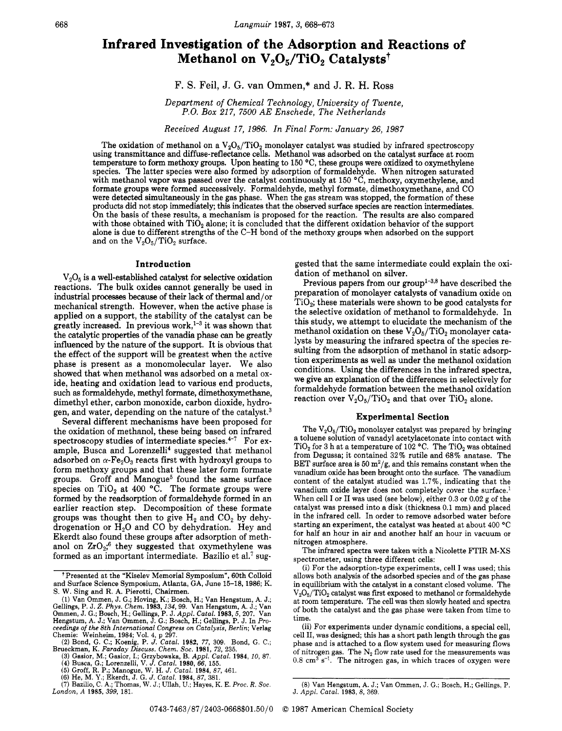# **Infrared Investigation of the Adsorption and Reactions of Methanol on V<sub>2</sub>O<sub>5</sub>/TiO<sub>2</sub> Catalysts<sup>†</sup>**

## F. S. Feil, J. G. van Ommen,\* and J. R. N. Ross

*Department of Chemical Technology, University of Twente, P.O. Box 21 7, 7500 AE Enschede, The Netherlands* 

*Received August 17, 1986. In Final Form: January 26, 1987* 

The oxidation of methanol on a  $V_2O_5/TiO_2$  monolayer catalyst was studied by infrared spectroscopy using transmittance and diffuse-reflectance cells. Methanol was adsorbed on the catalyst surface at room temperature to form methoxy groups. Upon heating to 150 "C, these groups were oxidized to oxymethylene species. The latter species were also formed by adsorption of formaldehyde. When nitrogen saturated with methanol vapor was passed over the catalyst continuously at 150 °C, methoxy, oxymethylene, and formate groups were formed successively. Formaldehyde, methyl formate, dimethoxymethane, and CO were detected simultaneously in the gas phase. When the gas stream was stopped, the formation of these products did not stop immediately; this indicates that the observed surface species are reaction intermediates. On the basis of these results, a mechanism is proposed for the reaction. The results are also compared with those obtained with  $TiO<sub>2</sub>$  alone; it is concluded that the different oxidation behavior of the support alone is due to different strengths of the C-H bond of the methoxy groups when adsorbed on the support and on the  $V_2O_5/TiO_2$  surface.

 $V_2O_5$  is a well-established catalyst for selective oxidation reactions. The bulk oxides cannot generally be used in industrial processes because of their lack of thermal and/or mechanical strength. However, when the active phase is applied on a support, the stability of the catalyst can be greatly increased. In previous work,<sup>1-3</sup> it was shown that the catalytic properties of the vanadia phase *can* be greatly influenced by the nature of the support. It is obvious that the effect of the support will be greatest when the active phase is present as a monomolecular layer. We also showed that when methanol was adsorbed on a metal **ox**ide, heating and oxidation lead to various end products, such **as** formaldehyde, methyl formate, dimethoxymethane, dimethyl ether, carbon monoxide, carbon dioxide, hydrogen, and water, depending on the nature of the catalyst. $<sup>3</sup>$ </sup>

Several different mechanisms have been proposed for the oxidation of methanol, these being based on infrared spectroscopy studies of intermediate species. $4-7$  For example, Busca and Lorenzelli<sup>4</sup> suggested that methanol adsorbed on  $\alpha$ -Fe<sub>2</sub>O<sub>3</sub> reacts first with hydroxyl groups to form methoxy groups and that these later form formate groups. Groff and Manogue<sup>5</sup> found the same surface species on  $TiO<sub>2</sub>$  at 400 °C. The formate groups were formed by the readsorption of formaldehyde formed in an earlier reaction step. Decomposition of these formate groups was thought then to give  $H_2$  and  $CO_2$  by dehydrogenation or  $\dot{H}_2O$  and CO by dehydration. Hey and Ekerdt also found these groups after adsorption of methanol on  $ZrO<sub>2</sub>$ <sup>6</sup> they suggested that oxymethylene was formed as an important intermediate. Bazilio et al.<sup>7</sup> sug-

**Introduction gested that the same intermediate could explain the oxi**dation of methanol on silver.

> Previous papers from our group<sup>1-3,8</sup> have described the preparation of monolayer catalysts of vanadium oxide on  $TiO<sub>2</sub>$ ; these materials were shown to be good catalysts for the selective oxidation of methanol to formaldehyde. In this study, we attempt to elucidate the mechanism of the methanol oxidation on these  $V_2O_5/TiO_2$  monolayer catalysts by measuring the infrared spectra of the species resulting from the adsorption of methanol in static adsorption experiments as well **as** under the methanol oxidation conditions. Using the differences in the infrared spectra, we give an explanation of the differences in selectively for formaldehyde formation between the methanol oxidation reaction over  $V_2O_5/TiO_2$  and that over TiO<sub>2</sub> alone.

### **Experimental Section**

The  $V_2O_5/TiO_2$  monolayer catalyst was prepared by bringing a toluene solution of vanadyl acetylacetonate into contact with TiO<sub>2</sub> for 3 h at a temperature of  $102$  °C. The TiO<sub>2</sub> was obtained from Degussa; it contained **32%** rutile and 68% anatase. The BET surface area is 50  $\frac{m^2}{g}$ , and this remains constant when the vanadium oxide **has** been brought onto the surface. The vanadium content of the catalyst studied was 1.7%, indicating that the vanadium oxide layer does not completely cover the surface.' When cell I or **I1** was used (see below), either 0.3 or 0.02 g of the catalyst was pressed into a disk (thickness 0.1 mm) and placed in the infrared cell. In order to remove adsorbed water before starting an experiment, the catalyst was heated at about 400 *"C*  for half an hour in air and another half an hour in vacuum or nitrogen atmosphere.

The infrared spectra were taken with a Nicolette FTIR M-XS spectrometer, using three different cells:

**(i)** For the adsorption-type experiments, cell I was used; this allows both analysis of the adsorbed species and of the gas phase in equilibrium with the catalyst in a constant closed volume. The  $V<sub>2</sub>O<sub>5</sub>/TiO<sub>2</sub>$  catalyst was first exposed to methanol or formaldehyde at room temperature. The cell was then slowly heated and spectra of both the catalyst and the gas phase were taken from time to time.

(ii) For experiments under dynamic conditions, a special cell, cell 11, was designed; this **has** a short path length through the gas phase and is attached to a flow system used for measuring flows of nitrogen gas. The  $N_2$  flow rate used for the measurements was  $0.8 \text{ cm}^3 \text{ s}^{-1}$ . The nitrogen gas, in which traces of oxygen were

t Presented at the "Kiselev Memorial Symposium", 60th Colloid and Surface Science Symposium, Atlanta, GA, June 15-18,1986; K. S. W. Sing and R. A. Pierotti, Chairmen.

<sup>(1)</sup> Van Ommen, J. G.; Hoving, K.; Bosch, H.; Van Hengstum, **A.** J.; Gellings, P. J. Z. Phys. Chem. 1983, 134, 99. Van Hengstum, A. J.; Van Ommen, J. G.; Bosch, H.; Gellings, P. J. Appl. Catal. 1983, 5, 207. Van Hengstum, A. J.; Van Ommen, J. G.; Bosch, H.; Gellings, P. J. Appl. Catal. 1983 ceedings of the 8th International Congress on Catalysis, Berlin; Verlag<br>Chemie: Weinheim, 1984; Vol. 4, p 297.<br>(2) Bond, G. C.; Koenig, P. J. Catal. 1982, 77, 309. Bond, G. C.;<br>Brueckman, K. Faraday Discuss. Chem. Soc. 19

*London, A* **1985,** *399,* 181.

*<sup>(8)</sup>* Van Hengstum, **A.** J.; Van Ommen, J. G.; Bosch, H.; Gellings, P. J. *Appl. Catal.* **1983, 8,** 369.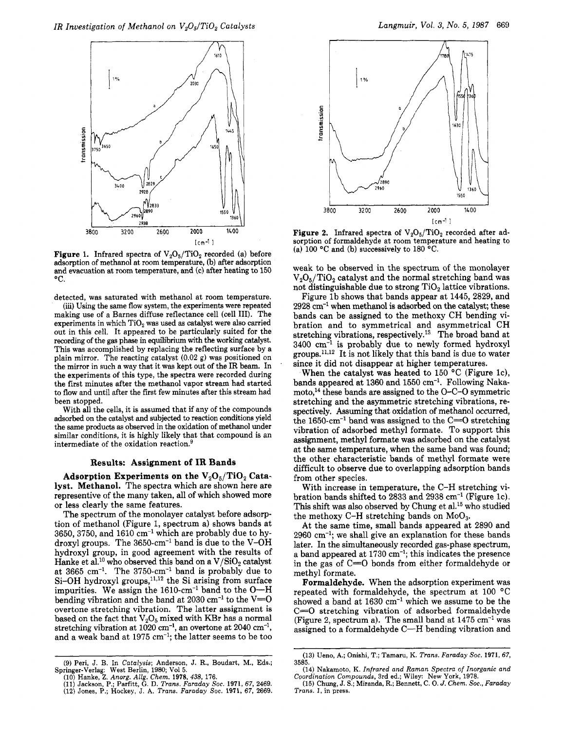

**Figure 1.** Infrared spectra of  $V_2O_5/TiO_2$  recorded (a) before adsorption of methanol at room temperature, (b) after adsorption and evacuation at room temperature, and (c) after heating to 150  $^{\circ}$ C.

detected, was saturated with methanol at room temperature.

(iii) Using the same flow system, the experiments were repeated making use of a Barnes diffuse reflectance cell (cell 111). The experiments in which  $TiO<sub>2</sub>$  was used as catalyst were also carried out in this cell. It appeared to be particularly suited for the recording of the gas phase in equilibrium with the working catalyst. This was accomplished by replacing the reflecting surface by a plain mirror. The reacting catalyst **(0.02** g) was positioned on the mirror in such a way that it was kept out of the IR beam. In the experiments of this type, the spectra were recorded during the first minutes after the methanol vapor stream had started to flow and until after the first few minutes after this stream had been stopped.

With all the cells, it is assumed that if any of the compounds adsorbed on the catalyst and subjected to reaction conditions yield the same products **as** observed in the oxidation of methanol under similar conditions, it is highly likely that that compound is an intermediate of the oxidation reaction.<sup>§</sup>

#### **Results: Assignment of IR Bands**

Adsorption Experiments on the V<sub>2</sub>O<sub>5</sub>/TiO<sub>2</sub> Cata**lyst. Methanol.** The spectra which are shown here are representive of the many taken, all of which showed more or less clearly the same features.

The spectrum of the monolayer catalyst before adsorption of methanol (Figure 1, spectrum a) shows bands at  $3650,3750$ , and  $1610 \text{ cm}^{-1}$  which are probably due to hydroxyl groups. The  $3650 \text{-cm}^{-1}$  band is due to the V-OH hydroxyl group, in good agreement with the results of Hanke et al.<sup>10</sup> who observed this band on a  $V/SiO<sub>2</sub>$  catalyst at 3665 cm-'. The 3750-cm-' band is probably due to  $Si-OH$  hydroxyl groups,<sup>11,12</sup> the Si arising from surface impurities. We assign the  $1610\text{-cm}^{-1}$  band to the  $O-H$ bending vibration and the band at 2030 cm<sup>-1</sup> to the V= $\overline{O}$ overtone stretching vibration. The latter assignment is based on the fact that  $V_2O_5$  mixed with KBr has a normal stretching vibration at  $1020 \text{ cm}^{-1}$ , an overtone at  $2040 \text{ cm}^{-1}$ , and a weak band at 1975 cm-l; the latter seems to be too



**Figure 2.** Infrared spectra of  $V_2O_5/TiO_2$  recorded after adsorption of formaldehyde at room temperature and heating to **(a)** 100 "C and (b) successively to 180 "C.

weak to be observed in the spectrum of the monolayer  $V<sub>2</sub>O<sub>5</sub>/TiO<sub>2</sub>$  catalyst and the normal stretching band was not distinguishable due to strong  $TiO<sub>2</sub>$  lattice vibrations.

Figure lb shows that bands appear at 1445, 2829, and 2928 cm-' when methanol is adsorbed on the catalyst; these bands can be assigned to the methoxy CH bending vibration and to symmetrical and asymmetrical CH stretching vibrations, respectively.<sup>13</sup> The broad band at  $3400 \text{ cm}^{-1}$  is probably due to newly formed hydroxyl groups. $11,12$  It is not likely that this band is due to water since it did not disappear at higher temperatures.

When the catalyst was heated to 150 *"C* (Figure IC), bands appeared at 1360 and 1550  $cm^{-1}$ . Following Nakamoto,<sup>14</sup> these bands are assigned to the  $O-C-O$  symmetric stretching and the asymmetric stretching vibrations, respectively. Assuming that oxidation of methanol occurred, the 1650-cm<sup>-1</sup> band was assigned to the  $C=O$  stretching vibration of adsorbed methyl formate. To support this assignment, methyl formate was adsorbed on the catalyst at the same temperature, when the same band was found; the other characteristic bands of methyl formate were difficult to observe due to overlapping adsorption bands from other species.

With increase in temperature, the C-H stretching vibration bands shifted to 2833 and  $2938 \text{ cm}^{-1}$  (Figure 1c). This shift was also observed by Chung et al.<sup>15</sup> who studied the methoxy C-H stretching bands on  $MoO<sub>3</sub>$ .

At the same time, small bands appeared at 2890 and 2960 cm-l; we shall give an explanation for these bands later. In the simultaneously recorded gas-phase spectrum, a band appeared at 1730 cm-'; this indicates the presence in the gas of  $C=0$  bonds from either formaldehyde or methyl formate.

**Formaldehyde.** When the adsorption experiment was repeated with formaldehyde, the spectrum at  $100 °C$ showed a band at  $1630 \text{ cm}^{-1}$  which we assume to be the C=O stretching vibration of adsorbed formaldehyde (Figure 2, spectrum a). The small band at  $1475 \text{ cm}^{-1}$  was assigned to a formaldehyde C-H bending vibration and

**<sup>(9)</sup>** Peri, J. B. In *Catalysis;* Anderson, J. R., Boudart, M., **Eds.;**  Springer-Verlag: West Berlin, **1980;** Vol **5.** 

**<sup>(10)</sup>** Hanke, 2. *Anorg. A&. Chem.* **1978, 438, 176. (11)** Jackson, P.; Parfitt, G. D. *Trans. Faraday SOC.* **1971,67, 2469.** 

**<sup>(12)</sup>** Jones, **P.;** Hockey, J. A. *Trans. Faraday SOC.* **1971, 67, 2669.** 

**<sup>(13)</sup>** Ueno, **A.;** Onishi, T.; Tamaru, K. *Trans. Faraday Soc.* **1971,67, 3585.** 

**<sup>(14)</sup>** Nakamoto, K. *Infrared and Raman Spectra of Inorganic and*  **(15)** Chung, *J.* **S.;** Miranda, R.; Bennett, C. 0. *J. Chem. Soc., Faraday Coordination Compounds,* 3rd ed.; Wiley: New York, **1978.** 

*Trans. 1,* in press.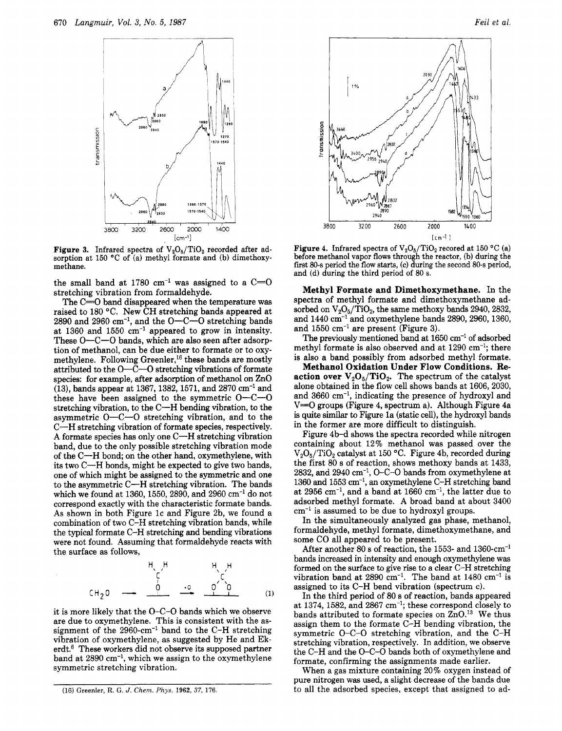

**Figure 3.** Infrared spectra of  $V_2O_5/TiO_2$  recorded after adsorption at 150 °C of (a) methyl formate and (b) dimethoxy-<br>methane.

the small band at 1780 cm<sup>-1</sup> was assigned to a  $C=O$ stretching vibration from formaldehyde.

The C=0 band disappeared when the temperature was raised to 180 °C. New CH stretching bands appeared at  $2890$  and  $2960$  cm<sup>-1</sup>, and the O-C-O stretching bands at 1360 and 1550 cm-' appeared to grow in intensity. These O-C-O bands, which are also seen after adsorption of methanol, can be due either to formate or to oxymethylene. Following Greenler,<sup>16</sup> these bands are mostly attributed to the  $O-\tilde{C}-O$  stretching vibrations of formate species: for example, after adsorption of methanol on ZnO (13), bands appear at 1367,1382,1571, and 2870 cm-' and these have been assigned to the symmetric  $O-C-O$ stretching vibration, to the C-H bending vibration, to the asymmetric  $O-C-O$  stretching vibration, and to the C-H stretching vibration of formate species, respectively. A formate species has only one  $C-H$  stretching vibration band, due to the only possible stretching vibration mode of the C-H bond; on the other hand, oxymethylene, with its two C-H bonds, might be expected to give two bands, one of which might be assigned to the symmetric and one to the asymmetric C-H stretching vibration. The bands which we found at 1360, 1550, 2890, and 2960  $\text{cm}^{-1}$  do not correspond exactly with the characteristic formate bands. **As** shown in both Figure IC and Figure 2b, we found a combination of two C-H stretching vibration bands, while the typical formate C-H stretching and bending vibrations were not found. Assuming that formaldehyde reacts with the surface as follows,

HH ' -' "\ ,H

it is more likely that the 0-C-0 bands which we observe are due to oxymethylene. This is consistent with the assignment of the 2960-cm-' band to the C-H stretching vibration of oxymethylene, as suggested by He and Ekerdt.<sup>6</sup> These workers did not observe its supposed partner band at  $2890 \text{ cm}^{-1}$ , which we assign to the oxymethylene symmetric stretching vibration.



**Figure 4.** Infrared spectra of  $V_2O_5/TiO_2$  recored at 150 °C (a) before methanol vapor **flows** through the reactor, (b) during the fist 80-s period the flow **starts,** *(c)* during the second 80-s period, and (d) during the third period of 80 s.

**Methyl Formate and Dimethoxymethane.** In the spectra of methyl formate and dimethoxymethane adsorbed on  $V_2O_5/TiO_2$ , the same methoxy bands 2940, 2832, and  $1440 \text{ cm}^{-1}$  and oxymethylene bands 2890, 2960, 1360, and  $1550 \text{ cm}^{-1}$  are present (Figure 3).

The previously mentioned band at 1650 cm<sup>-1</sup> of adsorbed methyl formate is also observed and at 1290 cm<sup>-1</sup>; there is also a band possibly from adsorbed methyl formate.

**Methanol Oxidation Under Flow Conditions. Reaction over**  $V_2O_5/TiO_2$ **. The spectrum of the catalyst** alone obtained in the flow cell shows bands at 1606, 2030. and 3660 cm-', indicating the presence of hydroxyl and  $V=O$  groups (Figure 4, spectrum a). Although Figure 4a is quite **similar** to Figure la (static cell), the hydroxyl bands in the former are more difficult to distinguish.

Figure 4b-d shows the spectra recorded while nitrogen containing about 12% methanol was passed over the  $V_2O_5/TiO_2$  catalyst at 150 °C. Figure 4b, recorded during the first 80 s of reaction, shows methoxy bands at 1433, 2832, and 2940 cm-', 0-C-0 bands from oxymethylene at 1360 and 1553 cm-l, an oxymethylene C-H stretching band at 2956 cm-l, and a band at 1660 cm-', the latter due to adsorbed methyl formate. A broad band at about 3400  $cm<sup>-1</sup>$  is assumed to be due to hydroxyl groups.

In the simultaneously analyzed gas phase, methanol, formaldehyde, methyl formate, dimethoxymethane, and some CO all appeared to be present.

After another 80 s of reaction, the 1553- and 1360-cm-l bands increased in intensity and enough oxymethylene was formed on the surface to give rise to a clear C-H stretching vibration band at  $2890 \text{ cm}^{-1}$ . The band at  $1480 \text{ cm}^{-1}$  is assigned to its C-H bend vibration (spectrum c).

In the third period of 80 s of reaction, bands appeared at 1374, 1582, and 2867 cm-'; these correspond closely to bands attributed to formate species on  $ZnO<sup>13</sup>$  We thus assign them to the formate C-H bending vibration, the symmetric 0-C-0 stretching vibration, and the C-H stretching vibration, respectively. In addition, we observe the C-H and the 0-C-0 bands both of oxymethylene and formate, confirming the assignments made earlier.

When a gas mixture containing 20% oxygen instead of pure nitrogen was used, a slight decrease of the bands due to all the adsorbed species, except that assigned to ad-

<sup>(16)</sup> **Greenler,** R. *G. J. Chem. Phys.* **1962, 37, 176.**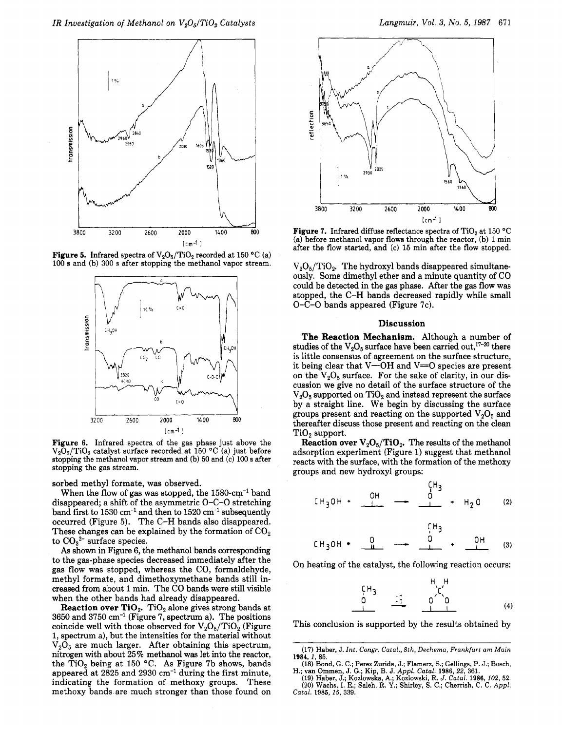

**Figure 5.** Infrared spectra of  $V_2O_5/TiO_2$  recorded at 150 °C (a) 100 **s** and (b) 300 s after stopping the methanol vapor stream.



Figure **6.** Infrared spectra of the gas phase just above the  $V_2O_5/TiO_2$  catalyst surface recorded at 150 °C (a) just before stopping the methanol vapor stream and (b) 50 and (c) **100 s** after stopping the gas stream.

sorbed methyl formate, was observed.

When the flow of gas was stopped, the  $1580 \text{-cm}^{-1}$  band disappeared; a shift of the asymmetric 0-C-0 stretching band first to  $1530 \text{ cm}^{-1}$  and then to  $1520 \text{ cm}^{-1}$  subsequently occurred (Figure 5). The **C-H** bands also disappeared. These changes can be explained by the formation of  $CO<sub>2</sub>$ to *C032-* surface species.

*As* shown in Figure 6, the methanol bands corresponding to the gas-phase species decreased immediately after the gas flow was stopped, whereas the CO, formaldehyde, methyl formate, and dimethoxymethane bands still increased from about 1 min. The CO bands were still visible when the other bands had already disappeared.

**Reaction over TiO<sub>2</sub>.** TiO<sub>2</sub> alone gives strong bands at  $3650$  and  $3750$  cm<sup>-1</sup> (Figure 7, spectrum a). The positions coincide well with those observed for  $V_2O_5/TiO_2$  (Figure 1, spectrum a), but the intensities for the material without  $V_2O_5$  are much larger. After obtaining this spectrum, nitrogen with about 25% methanol was let into the reactor, the Ti02 being at 150 **"C.** As Figure **7b** shows, bands appeared at  $2825$  and  $2930 \text{ cm}^{-1}$  during the first minute, indicating the formation of methoxy groups. These methoxy bands are much stronger than those found on



Figure 7. Infrared diffuse reflectance spectra of TiO<sub>2</sub> at 150 °C (a) before methanol vapor flows through the reactor,  $(b)$  1 min after the flow started, and (c) **15** min after the flow stopped.

 $V_2O_5/TiO_2$ . The hydroxyl bands disappeared simultaneously. Some dimethyl ether and a minute quantity of CO could be detected in the gas phase. After the gas flow was stopped, the **C-H** bands decreased rapidly while small 0-C-0 bands appeared (Figure 7c).

#### **Discussion**

**The Reaction Mechanism.** Although a number of studies of the  $V_2O_5$  surface have been carried out,<sup>17-20</sup> there is little consensus of agreement on the surface structure, it being clear that  $V$ —OH and  $V$ = O species are present on the **V205** surface. For the sake of clarity, in our discussion we give no detail of the surface structure of the  $V_2O_5$  supported on  $TiO_2$  and instead represent the surface by a straight line. We begin by discussing the surface groups present and reacting on the supported  $V<sub>2</sub>O<sub>5</sub>$  and thereafter discuss those present and reacting on the clean  $TiO<sub>2</sub>$  support.

**Reaction over**  $V_2O_5/TiO_2$ **. The results of the methanol** adsorption experiment (Figure 1) suggest that methanol reacts with the surface, with the formation of the methoxy groups and new hydroxyl groups:

$$
CH_3OH + \stackrel{OH}{\longrightarrow} \longrightarrow \stackrel{CH_3}{\longrightarrow} + H_2O \qquad (2)
$$

$$
CH_3OH \bullet \quad \frac{Q}{4} \quad \frac{CH_3}{4} \quad \frac{OH}{4} \quad (3)
$$

On heating of the catalyst, the following reaction occurs:

$$
\begin{array}{cccc}\nC H_3 & & H_1 H_2 & & \\
0 & & 0 & 0 & \\
& & & \n\end{array}
$$
 (4)

This conclusion is supported by the results obtained by

<sup>(17)</sup> Haber, J. *Int.* Congr. *Catal., Bth, Dechema, Frankfurt am Main*  **1984, 1, 85.** 

**<sup>(18)</sup>** Bond, G. C.; Perez Zurida, J.; Flamerz, S.; Gellings, P. J.; Bosch, H.; **van** Ommen, J. G.; Kip, B. J. Appl. *Catal.* **1986,22, 361.** 

<sup>(19)</sup> Haber, J.; Kozlowska, **A,;** Kozlowski, R. *J.* Catal. **1986,102, 52.**  (20) Wachs, I. E.; Saleh, R. Y.; Shirley, S. C.; Cherrish, C. C. Appl. *Catal.* **1985, 15, 339.**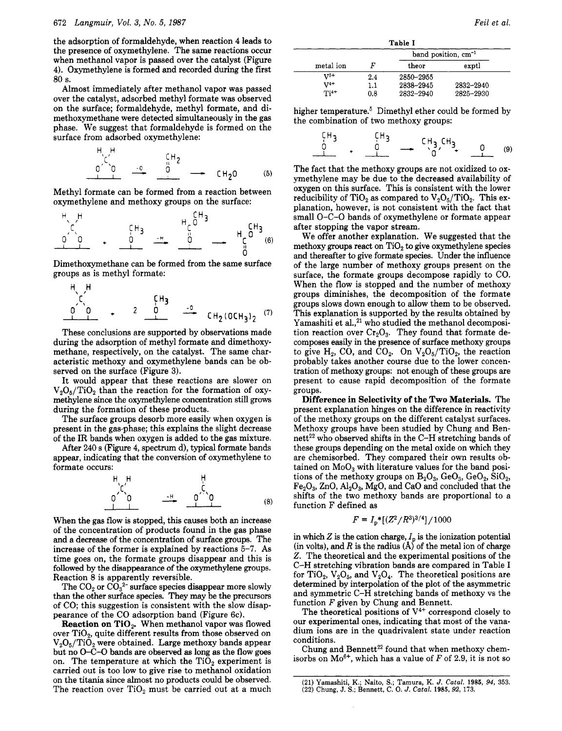the adsorption of formaldehyde, when reaction **4** leads to the presence of oxymethylene. The same reactions occur when methanol vapor is passed over the catalyst (Figure **4).** Oxymethylene is formed and recorded during the first 80 s.

Almost immediately after methanol vapor was passed over the catalyst, adsorbed methyl formate was observed on the surface; formaldehyde, methyl formate, and dimethoxymethane were detected simultaneously in the gas phase. We suggest that formaldehyde is formed on the surface from adsorbed oxymethylene:

HI ,H <sup>r</sup>

Methyl formate can be formed from a reaction between oxymethylene and methoxy groups on the surface:

- a

Dimethoxymethane can be formed from the same surface groups as is methyl formate:

HH

These conclusions are supported by observations made during the adsorption of methyl formate and dimethoxymethane, respectively, on the catalyst. The same characteristic methoxy and oxymethylene bands can be observed on the surface (Figure **3).** 

It would appear that these reactions are slower on  $V_2O_5/TiO_2$  than the reaction for the formation of oxymethylene **since** the oxymethylene concentration still grows during the formation of these products.

The surface groups desorb more easily when oxygen is present in the gas-phase; this explains the slight decrease of the IR bands when oxygen is added to the gas mixture.

After **240** s (Figure **4,** spectrum d), typical formate bands appear, indicating that the conversion of oxymethylene to formate occurs:



When the gas flow is stopped, this causes both an increase of the concentration of products found in the gas phase and a decrease of the concentration of surface groups. The increase of the former is explained by reactions **5-7.** As time goes on, the formate groups disappear and this is followed by the disappearance of the oxymethylene groups. Reaction 8 is apparently reversible.

The  $CO_2$  or  $CO_3^{2-}$  surface species disappear more slowly than the other surface species. They may be the precursors of CO; this suggestion is consistent with the slow disappearance of the CO adsorption band (Figure 6c).

**Reaction on TiO<sub>2</sub>.** When methanol vapor was flowed over  $TiO<sub>2</sub>$ , quite different results from those observed on  $V<sub>2</sub>O<sub>5</sub>/TiO<sub>2</sub>$  were obtained. Large methoxy bands appear but no 0-C-O bands are observed **as** long as the flow goes on. The temperature at which the  $TiO<sub>2</sub>$  experiment is carried out is too low to give rise to methanol oxidation on the titania since almost no products could be observed. The reaction over  $TiO<sub>2</sub>$  must be carried out at a much

| Table I   |     |           |                          |
|-----------|-----|-----------|--------------------------|
|           |     |           | band position, $cm^{-1}$ |
| metal ion |     | theor     | exptl                    |
| $V^{5+}$  | 2.4 | 2850-2955 |                          |
| $V^{4+}$  | 1.1 | 2838-2945 | 2832-2940                |
| $Ti4+$    | 0.8 | 2832-2940 | 2825-2930                |

higher temperature.<sup>5</sup> Dimethyl ether could be formed by the combination of two methoxy groups:

The fact that the methoxy groups are not oxidized to oxymethylene may be due to the decreased availability of oxygen on this surface. This is consistent with the lower reducibility of TiO<sub>2</sub> as compared to  $V_2O_5/TiO_2$ . This explanation, however, is not consistent with the fact that small 0-C-0 bands of oxymethylene or formate appear after stopping the vapor stream.

We offer another explanation. We suggested that the methoxy groups react on  $TiO<sub>2</sub>$  to give oxymethylene species and thereafter to give formate species. Under the influence of the large number of methoxy groups present on the surface, the formate groups decompose rapidly to CO. When the flow is stopped and the number of methoxy groups diminishes, the decomposition of the formate groups slows down enough to allow them to be observed. This explanation is supported by the results obtained by Yamashiti et al.,<sup>21</sup> who studied the methanol decomposition reaction over  $Cr_2O_3$ . They found that formate decomposes easily in the presence of surface methoxy groups to give  $H_2$ , CO, and CO<sub>2</sub>. On  $V_2O_5/TiO_2$ , the reaction probably takes another course due to the lower concentration of methoxy groups: not enough of these groups are present to cause rapid decomposition of the formate groups.

**Difference in Selectivity of the Two Materials.** The present explanation hinges on the difference in reactivity of the methoxy groups on the different catalyst surfaces. Methoxy groups have been studied by Chung and Bennett<sup>22</sup> who observed shifts in the C-H stretching bands of these groups depending on the metal oxide on which they are chemisorbed. They compared their own results obtained on  $MoO<sub>3</sub>$  with literature values for the band positions of the methoxy groups on  $B_2O_3$ ,  $GeO_3$ ,  $GeO_2$ ,  $SiO_2$ ,  $Fe<sub>2</sub>O<sub>3</sub>$ ,  $ZnO$ ,  $Al<sub>2</sub>O<sub>3</sub>$ ,  $MgO$ , and CaO and concluded that the shifts of the two methoxy bands are proportional to a function F defined as

$$
F = I_{\rm p}^*[(Z^2/R^3)^{3/4}]/1000
$$

in which  $Z$  is the cation charge,  $I_p$  is the ionization potential  $(in volts)$ , and  $R$  is the radius  $(A)$  of the metal ion of charge *2.* The theoretical and the experimental positions of the **C-H** stretching vibration bands are compared in Table I for TiO<sub>2</sub>,  $V_2O_5$ , and  $V_2O_4$ . The theoretical positions are determined by interpolation of the plot of the asymmetric and symmetric C-H stretching bands of methoxy vs the function *F* given by Chung and Bennett.

The theoretical positions **of** V4+ correspond closely to our experimental ones, indicating that most of the vanadium ions are in the quadrivalent state under reaction conditions.

Chung and Bennett<sup>22</sup> found that when methoxy chemisorbs on  $Mo^{6+}$ , which has a value of *F* of 2.9, it is not so

**<sup>(21)</sup> Yamashiti,** K.; **Naito,** S.; **Tamura, K.** *J. Catal.* **1985, 94, 353. (22) Chung, J.** S.; **Bennett, C. 0.** *J. Catal.* **1985,** *92,* **173.**